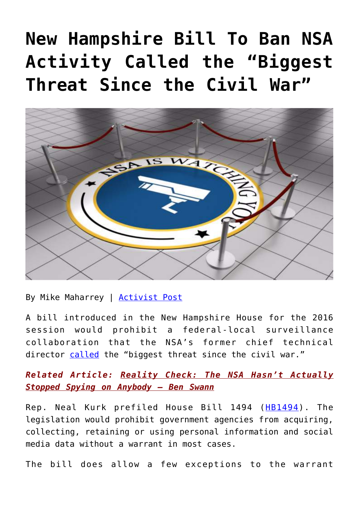# **[New Hampshire Bill To Ban NSA](https://consciouslifenews.com/new-hampshire-bill-to-ban-nsa-activity-called-the-biggest-threat-since-the-civil-war/11104595/) [Activity Called the "Biggest](https://consciouslifenews.com/new-hampshire-bill-to-ban-nsa-activity-called-the-biggest-threat-since-the-civil-war/11104595/) [Threat Since the Civil War"](https://consciouslifenews.com/new-hampshire-bill-to-ban-nsa-activity-called-the-biggest-threat-since-the-civil-war/11104595/)**



By Mike Maharrey | [Activist Post](https://www.activistpost.com/2015/12/new-hampshire-bill-to-ban-nsa-activity-called-the-biggest-threat-since-the-civil-war.html)

A bill introduced in the New Hampshire House for the 2016 session would prohibit a federal-local surveillance collaboration that the NSA's former chief technical director [called](https://www.offnow.org/former_nsa_technical_director_calls_nsa_data_sharing_biggest_threat_since_civil_war) the "biggest threat since the civil war."

*Related Article: [Reality Check: The NSA Hasn't Actually](https://consciouslifenews.com/reality-check-the-nsa-hasnt-actually-stopped-spying-on-anybody-ben-swann/11103291/) [Stopped Spying on Anybody – Ben Swann](https://consciouslifenews.com/reality-check-the-nsa-hasnt-actually-stopped-spying-on-anybody-ben-swann/11103291/)*

Rep. Neal Kurk prefiled House Bill 1494 ([HB1494\)](https://www.gencourt.state.nh.us/lsr_search/billText.aspx?id=842&type=4). The legislation would prohibit government agencies from acquiring, collecting, retaining or using personal information and social media data without a warrant in most cases.

The bill does allow a few exceptions to the warrant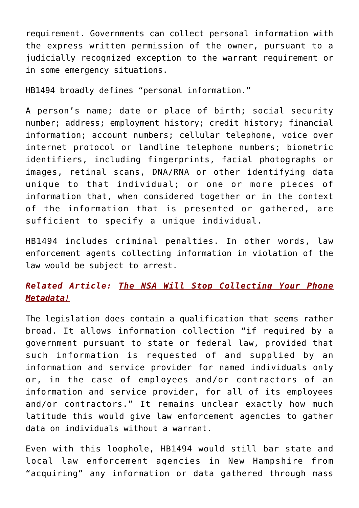requirement. Governments can collect personal information with the express written permission of the owner, pursuant to a judicially recognized exception to the warrant requirement or in some emergency situations.

HB1494 broadly defines "personal information."

A person's name; date or place of birth; social security number; address; employment history; credit history; financial information; account numbers; cellular telephone, voice over internet protocol or landline telephone numbers; biometric identifiers, including fingerprints, facial photographs or images, retinal scans, DNA/RNA or other identifying data unique to that individual; or one or more pieces of information that, when considered together or in the context of the information that is presented or gathered, are sufficient to specify a unique individual.

HB1494 includes criminal penalties. In other words, law enforcement agents collecting information in violation of the law would be subject to arrest.

### *Related Article: [The NSA Will Stop Collecting Your Phone](https://consciouslifenews.com/the-nsa-will-stop-collecting-your-phone-metadata/11103361/) [Metadata!](https://consciouslifenews.com/the-nsa-will-stop-collecting-your-phone-metadata/11103361/)*

The legislation does contain a qualification that seems rather broad. It allows information collection "if required by a government pursuant to state or federal law, provided that such information is requested of and supplied by an information and service provider for named individuals only or, in the case of employees and/or contractors of an information and service provider, for all of its employees and/or contractors." It remains unclear exactly how much latitude this would give law enforcement agencies to gather data on individuals without a warrant.

Even with this loophole, HB1494 would still bar state and local law enforcement agencies in New Hampshire from "acquiring" any information or data gathered through mass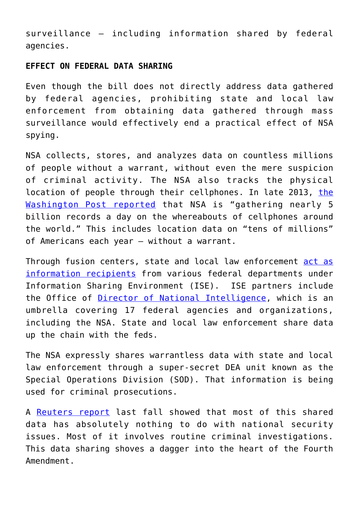surveillance – including information shared by federal agencies.

#### **EFFECT ON FEDERAL DATA SHARING**

Even though the bill does not directly address data gathered by federal agencies, prohibiting state and local law enforcement from obtaining data gathered through mass surveillance would effectively end a practical effect of NSA spying.

NSA collects, stores, and analyzes data on countless millions of people without a warrant, without even the mere suspicion of criminal activity. The NSA also tracks the physical location of people through their cellphones. In late 2013, [the](https://www.washingtonpost.com/world/national-security/nsa-tracking-cellphone-locations-worldwide-snowden-documents-show/2013/12/04/5492873a-5cf2-11e3-bc56-c6ca94801fac_story.html) [Washington Post reported](https://www.washingtonpost.com/world/national-security/nsa-tracking-cellphone-locations-worldwide-snowden-documents-show/2013/12/04/5492873a-5cf2-11e3-bc56-c6ca94801fac_story.html) that NSA is "gathering nearly 5 billion records a day on the whereabouts of cellphones around the world." This includes location data on "tens of millions" of Americans each year – without a warrant.

Through fusion centers, state and local law enforcement [act as](https://ise.gov/national-network-state-and-major-urban-area-fusion-centers) [information recipients](https://ise.gov/national-network-state-and-major-urban-area-fusion-centers) from various federal departments under Information Sharing Environment (ISE). ISE partners include the Office of [Director of National Intelligence,](https://www.dni.gov/index.php) which is an umbrella covering 17 federal agencies and organizations, including the NSA. State and local law enforcement share data up the chain with the feds.

The NSA expressly shares warrantless data with state and local law enforcement through a super-secret DEA unit known as the Special Operations Division (SOD). That information is being used for criminal prosecutions.

A [Reuters report](https://www.reuters.com/article/2013/08/05/us-dea-sod-idUSBRE97409R20130805) last fall showed that most of this shared data has absolutely nothing to do with national security issues. Most of it involves routine criminal investigations. This data sharing shoves a dagger into the heart of the Fourth Amendment.